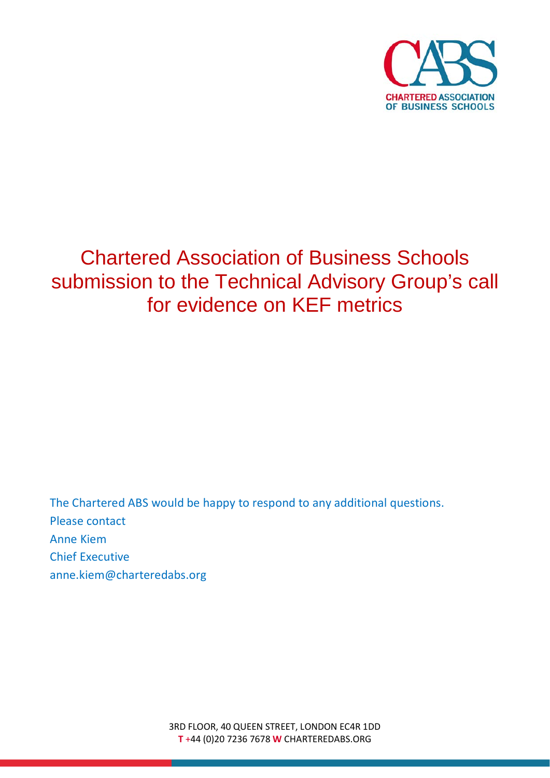

## Chartered Association of Business Schools submission to the Technical Advisory Group's call for evidence on KEF metrics

The Chartered ABS would be happy to respond to any additional questions. Please contact Anne Kiem Chief Executive anne.kiem@charteredabs.org

> 3RD FLOOR, 40 QUEEN STREET, LONDON EC4R 1DD **T** +44 (0)20 7236 7678 **W** CHARTEREDABS.ORG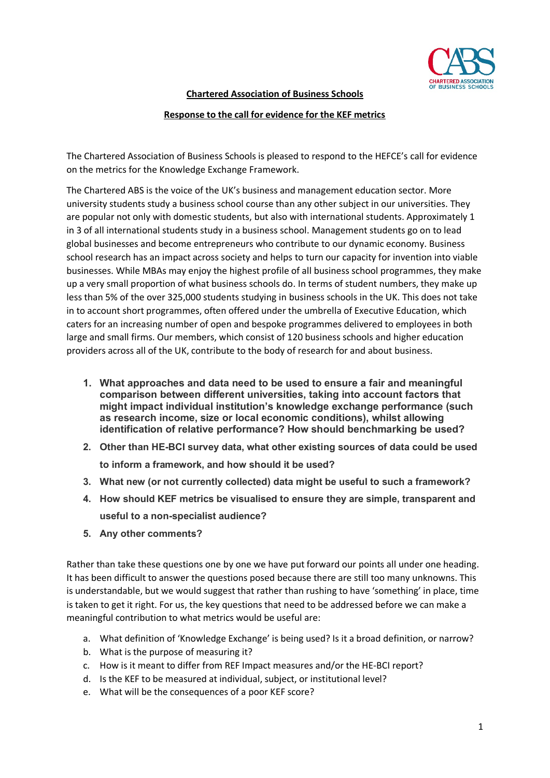

**Chartered Association of Business Schools**

## **Response to the call for evidence for the KEF metrics**

The Chartered Association of Business Schools is pleased to respond to the HEFCE's call for evidence on the metrics for the Knowledge Exchange Framework.

The Chartered ABS is the voice of the UK's business and management education sector. More university students study a business school course than any other subject in our universities. They are popular not only with domestic students, but also with international students. Approximately 1 in 3 of all international students study in a business school. Management students go on to lead global businesses and become entrepreneurs who contribute to our dynamic economy. Business school research has an impact across society and helps to turn our capacity for invention into viable businesses. While MBAs may enjoy the highest profile of all business school programmes, they make up a very small proportion of what business schools do. In terms of student numbers, they make up less than 5% of the over 325,000 students studying in business schools in the UK. This does not take in to account short programmes, often offered under the umbrella of Executive Education, which caters for an increasing number of open and bespoke programmes delivered to employees in both large and small firms. Our members, which consist of 120 business schools and higher education providers across all of the UK, contribute to the body of research for and about business.

- **1. What approaches and data need to be used to ensure a fair and meaningful comparison between different universities, taking into account factors that might impact individual institution's knowledge exchange performance (such as research income, size or local economic conditions), whilst allowing identification of relative performance? How should benchmarking be used?**
- **2. Other than HE-BCI survey data, what other existing sources of data could be used to inform a framework, and how should it be used?**
- **3. What new (or not currently collected) data might be useful to such a framework?**
- **4. How should KEF metrics be visualised to ensure they are simple, transparent and useful to a non-specialist audience?**
- **5. Any other comments?**

Rather than take these questions one by one we have put forward our points all under one heading. It has been difficult to answer the questions posed because there are still too many unknowns. This is understandable, but we would suggest that rather than rushing to have 'something' in place, time is taken to get it right. For us, the key questions that need to be addressed before we can make a meaningful contribution to what metrics would be useful are:

- a. What definition of 'Knowledge Exchange' is being used? Is it a broad definition, or narrow?
- b. What is the purpose of measuring it?
- c. How is it meant to differ from REF Impact measures and/or the HE-BCI report?
- d. Is the KEF to be measured at individual, subject, or institutional level?
- e. What will be the consequences of a poor KEF score?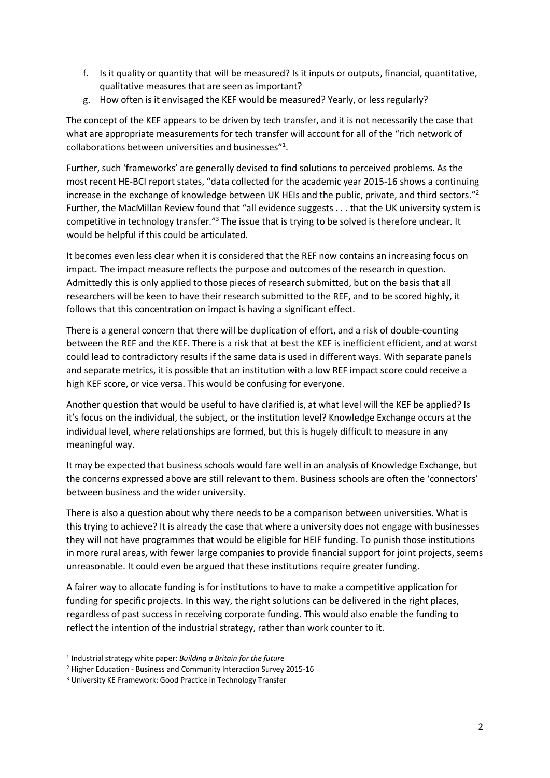- f. Is it quality or quantity that will be measured? Is it inputs or outputs, financial, quantitative, qualitative measures that are seen as important?
- g. How often is it envisaged the KEF would be measured? Yearly, or less regularly?

The concept of the KEF appears to be driven by tech transfer, and it is not necessarily the case that what are appropriate measurements for tech transfer will account for all of the "rich network of collaborations between universities and businesses"<sup>1</sup>.

Further, such 'frameworks' are generally devised to find solutions to perceived problems. As the most recent HE-BCI report states, "data collected for the academic year 2015-16 shows a continuing increase in the exchange of knowledge between UK HEIs and the public, private, and third sectors."2 Further, the MacMillan Review found that "all evidence suggests . . . that the UK university system is competitive in technology transfer."3 The issue that is trying to be solved is therefore unclear. It would be helpful if this could be articulated.

It becomes even less clear when it is considered that the REF now contains an increasing focus on impact. The impact measure reflects the purpose and outcomes of the research in question. Admittedly this is only applied to those pieces of research submitted, but on the basis that all researchers will be keen to have their research submitted to the REF, and to be scored highly, it follows that this concentration on impact is having a significant effect.

There is a general concern that there will be duplication of effort, and a risk of double-counting between the REF and the KEF. There is a risk that at best the KEF is inefficient efficient, and at worst could lead to contradictory results if the same data is used in different ways. With separate panels and separate metrics, it is possible that an institution with a low REF impact score could receive a high KEF score, or vice versa. This would be confusing for everyone.

Another question that would be useful to have clarified is, at what level will the KEF be applied? Is it's focus on the individual, the subject, or the institution level? Knowledge Exchange occurs at the individual level, where relationships are formed, but this is hugely difficult to measure in any meaningful way.

It may be expected that business schools would fare well in an analysis of Knowledge Exchange, but the concerns expressed above are still relevant to them. Business schools are often the 'connectors' between business and the wider university.

There is also a question about why there needs to be a comparison between universities. What is this trying to achieve? It is already the case that where a university does not engage with businesses they will not have programmes that would be eligible for HEIF funding. To punish those institutions in more rural areas, with fewer large companies to provide financial support for joint projects, seems unreasonable. It could even be argued that these institutions require greater funding.

A fairer way to allocate funding is for institutions to have to make a competitive application for funding for specific projects. In this way, the right solutions can be delivered in the right places, regardless of past success in receiving corporate funding. This would also enable the funding to reflect the intention of the industrial strategy, rather than work counter to it.

<sup>1</sup> Industrial strategy white paper: *Building a Britain for the future*

<sup>2</sup> Higher Education - Business and Community Interaction Survey 2015-16

<sup>3</sup> University KE Framework: Good Practice in Technology Transfer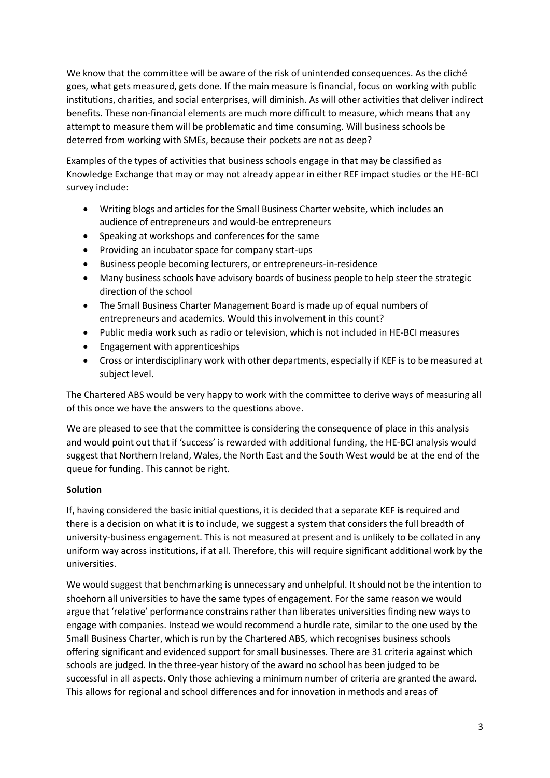We know that the committee will be aware of the risk of unintended consequences. As the cliché goes, what gets measured, gets done. If the main measure is financial, focus on working with public institutions, charities, and social enterprises, will diminish. As will other activities that deliver indirect benefits. These non-financial elements are much more difficult to measure, which means that any attempt to measure them will be problematic and time consuming. Will business schools be deterred from working with SMEs, because their pockets are not as deep?

Examples of the types of activities that business schools engage in that may be classified as Knowledge Exchange that may or may not already appear in either REF impact studies or the HE-BCI survey include:

- Writing blogs and articles for the Small Business Charter website, which includes an audience of entrepreneurs and would-be entrepreneurs
- Speaking at workshops and conferences for the same
- Providing an incubator space for company start-ups
- Business people becoming lecturers, or entrepreneurs-in-residence
- Many business schools have advisory boards of business people to help steer the strategic direction of the school
- The Small Business Charter Management Board is made up of equal numbers of entrepreneurs and academics. Would this involvement in this count?
- Public media work such as radio or television, which is not included in HE-BCI measures
- Engagement with apprenticeships
- Cross or interdisciplinary work with other departments, especially if KEF is to be measured at subject level.

The Chartered ABS would be very happy to work with the committee to derive ways of measuring all of this once we have the answers to the questions above.

We are pleased to see that the committee is considering the consequence of place in this analysis and would point out that if 'success' is rewarded with additional funding, the HE-BCI analysis would suggest that Northern Ireland, Wales, the North East and the South West would be at the end of the queue for funding. This cannot be right.

## **Solution**

If, having considered the basic initial questions, it is decided that a separate KEF **is** required and there is a decision on what it is to include, we suggest a system that considers the full breadth of university-business engagement. This is not measured at present and is unlikely to be collated in any uniform way across institutions, if at all. Therefore, this will require significant additional work by the universities.

We would suggest that benchmarking is unnecessary and unhelpful. It should not be the intention to shoehorn all universities to have the same types of engagement. For the same reason we would argue that 'relative' performance constrains rather than liberates universities finding new ways to engage with companies. Instead we would recommend a hurdle rate, similar to the one used by the Small Business Charter, which is run by the Chartered ABS, which recognises business schools offering significant and evidenced support for small businesses. There are 31 criteria against which schools are judged. In the three-year history of the award no school has been judged to be successful in all aspects. Only those achieving a minimum number of criteria are granted the award. This allows for regional and school differences and for innovation in methods and areas of